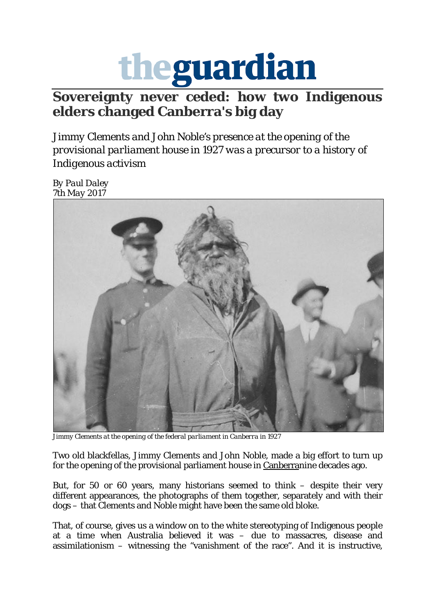## theguardian

## **Sovereignty never ceded: how two Indigenous elders changed Canberra's big day**

*Jimmy Clements and John Noble's presence at the opening of the provisional parliament house in 1927 was a precursor to a history of Indigenous activism*

*By Paul Daley 7th May 2017*



*Jimmy Clements at the opening of the federal parliament in Canberra in 1927*

Two old blackfellas, Jimmy Clements and John Noble, made a big effort to turn up for the opening of the provisional parliament house in [Canberran](https://www.theguardian.com/australia-news/canberra)ine decades ago.

But, for 50 or 60 years, many historians seemed to think – despite their very different appearances, the photographs of them together, separately and with their dogs – that Clements and Noble might have been the same old bloke.

That, of course, gives us a window on to the white stereotyping of Indigenous people at a time when Australia believed it was – due to massacres, disease and assimilationism – witnessing the "vanishment of the race". And it is instructive,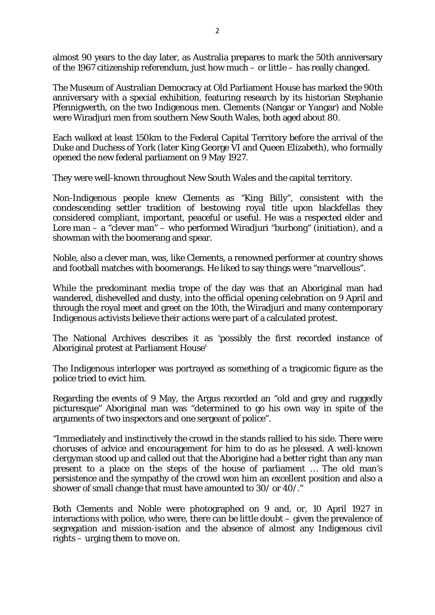almost 90 years to the day later, as Australia prepares to mark the 50th anniversary of the 1967 citizenship referendum, just how much – or little – has really changed.

The Museum of Australian Democracy at Old Parliament House has marked the 90th anniversary with a special exhibition, featuring research by its historian Stephanie Pfennigwerth, on the two Indigenous men. Clements (Nangar or Yangar) and Noble were Wiradjuri men from southern New South Wales, both aged about 80.

Each walked at least 150km to the Federal Capital Territory before the arrival of the Duke and Duchess of York (later King George VI and Queen Elizabeth), who formally opened the new federal parliament on 9 May 1927.

They were well-known throughout New South Wales and the capital territory.

Non-Indigenous people knew Clements as "King Billy", consistent with the condescending settler tradition of bestowing royal title upon blackfellas they considered compliant, important, peaceful or useful. He was a respected elder and Lore man – a "clever man" – who performed Wiradjuri "burbong" (initiation), and a showman with the boomerang and spear.

Noble, also a clever man, was, like Clements, a renowned performer at country shows and football matches with boomerangs. He liked to say things were "marvellous".

While the predominant media trope of the day was that an Aboriginal man had wandered, dishevelled and dusty, into the official opening celebration on 9 April and through the royal meet and greet on the 10th, the Wiradjuri and many contemporary Indigenous activists believe their actions were part of a calculated protest.

The National Archives describes it as 'possibly the first recorded instance of Aboriginal protest at Parliament House'

The Indigenous interloper was portrayed as something of a tragicomic figure as the police tried to evict him.

Regarding the events of 9 May, the Argus recorded an "old and grey and ruggedly picturesque" Aboriginal man was "determined to go his own way in spite of the arguments of two inspectors and one sergeant of police".

"Immediately and instinctively the crowd in the stands rallied to his side. There were choruses of advice and encouragement for him to do as he pleased. A well-known clergyman stood up and called out that the Aborigine had a better right than any man present to a place on the steps of the house of parliament … The old man's persistence and the sympathy of the crowd won him an excellent position and also a shower of small change that must have amounted to 30/ or 40/."

Both Clements and Noble were photographed on 9 and, or, 10 April 1927 in interactions with police, who were, there can be little doubt – given the prevalence of segregation and mission-isation and the absence of almost any Indigenous civil rights – urging them to move on.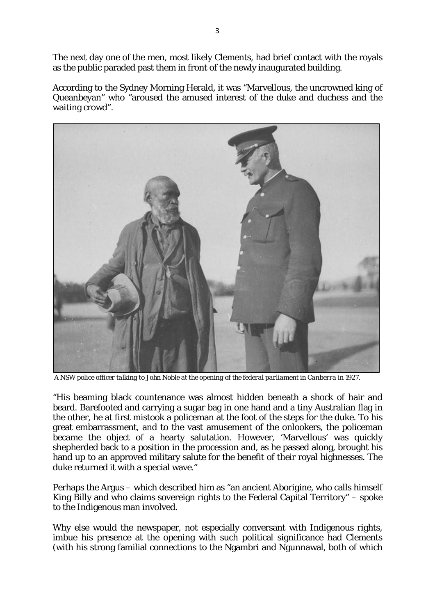The next day one of the men, most likely Clements, had brief contact with the royals as the public paraded past them in front of the newly inaugurated building.

According to the Sydney Morning Herald, it was "Marvellous, the uncrowned king of Queanbeyan" who "aroused the amused interest of the duke and duchess and the waiting crowd".



*A NSW police officer talking to John Noble at the opening of the federal parliament in Canberra in 1927.* 

"His beaming black countenance was almost hidden beneath a shock of hair and beard. Barefooted and carrying a sugar bag in one hand and a tiny Australian flag in the other, he at first mistook a policeman at the foot of the steps for the duke. To his great embarrassment, and to the vast amusement of the onlookers, the policeman became the object of a hearty salutation. However, 'Marvellous' was quickly shepherded back to a position in the procession and, as he passed along, brought his hand up to an approved military salute for the benefit of their royal highnesses. The duke returned it with a special wave."

Perhaps the Argus – which described him as "an ancient Aborigine, who calls himself King Billy and who claims sovereign rights to the Federal Capital Territory" – spoke to the Indigenous man involved.

Why else would the newspaper, not especially conversant with Indigenous rights, imbue his presence at the opening with such political significance had Clements (with his strong familial connections to the Ngambri and Ngunnawal, both of which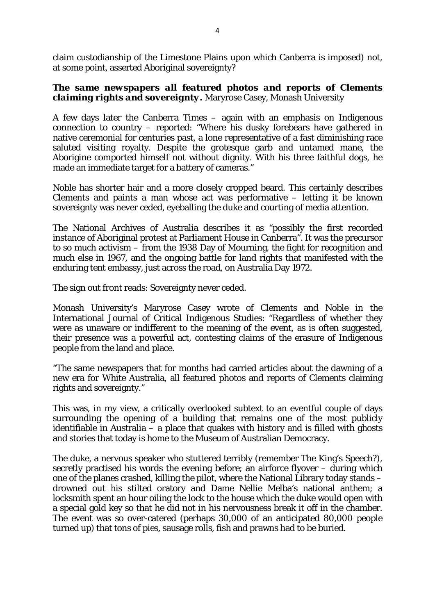claim custodianship of the Limestone Plains upon which Canberra is imposed) not, at some point, asserted Aboriginal sovereignty?

## *The same newspapers all featured photos and reports of Clements claiming rights and sovereignty.* Maryrose Casey, Monash University

A few days later the Canberra Times – again with an emphasis on Indigenous connection to country – reported: "Where his dusky forebears have gathered in native ceremonial for centuries past, a lone representative of a fast diminishing race saluted visiting royalty. Despite the grotesque garb and untamed mane, the Aborigine comported himself not without dignity. With his three faithful dogs, he made an immediate target for a battery of cameras."

Noble has shorter hair and a more closely cropped beard. This certainly describes Clements and paints a man whose act was performative – letting it be known sovereignty was never ceded, eyeballing the duke and courting of media attention.

The National Archives of Australia describes it as "possibly the first recorded instance of Aboriginal protest at Parliament House in Canberra". It was the precursor to so much activism – from the 1938 Day of Mourning, the fight for recognition and much else in 1967, and the ongoing battle for land rights that manifested with the enduring tent embassy, just across the road, on Australia Day 1972.

The sign out front reads: Sovereignty never ceded.

Monash University's Maryrose Casey wrote of Clements and Noble in the International Journal of Critical Indigenous Studies: "Regardless of whether they were as unaware or indifferent to the meaning of the event, as is often suggested, their presence was a powerful act, contesting claims of the erasure of Indigenous people from the land and place.

"The same newspapers that for months had carried articles about the dawning of a new era for White Australia, all featured photos and reports of Clements claiming rights and sovereignty."

This was, in my view, a critically overlooked subtext to an eventful couple of days surrounding the opening of a building that remains one of the most publicly identifiable in Australia – a place that quakes with history and is filled with ghosts and stories that today is home to the Museum of Australian Democracy.

The duke, a nervous speaker who stuttered terribly (remember The King's Speech?), secretly practised his words the evening before; an airforce flyover – during which one of the planes crashed, killing the pilot, where the National Library today stands – drowned out his stilted oratory and Dame Nellie Melba's national anthem; a locksmith spent an hour oiling the lock to the house which the duke would open with a special gold key so that he did not in his nervousness break it off in the chamber. The event was so over-catered (perhaps 30,000 of an anticipated 80,000 people turned up) that tons of pies, sausage rolls, fish and prawns had to be buried.